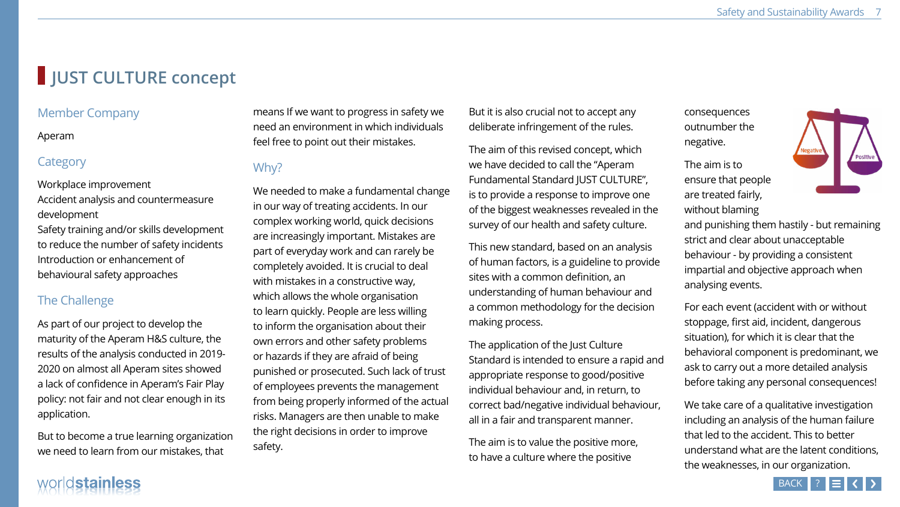# **JUST CULTURE concept**

## Member Company

#### Aperam

## **Category**

Workplace improvement Accident analysis and countermeasure development Safety training and/or skills development to reduce the number of safety incidents Introduction or enhancement of behavioural safety approaches

## The Challenge

## means If we want to progress in safet need an environment in which indivic feel free to point out their mistakes.

## Why?

As part of our project to develop the maturity of the Aperam H&S culture, the results of the analysis conducted in 2019- 2020 on almost all Aperam sites showed a lack of confidence in Aperam's Fair Play policy: not fair and not clear enough in its application.

But to become a true learning organization we need to learn from our mistakes, that

We needed to make a fundamental cl in our way of treating accidents. In our complex working world, quick decisio are increasingly important. Mistakes part of everyday work and can rarely completely avoided. It is crucial to dea with mistakes in a constructive way, which allows the whole organisation to learn quickly. People are less willing to inform the organisation about their own errors and other safety problems or hazards if they are afraid of being punished or prosecuted. Such lack of of employees prevents the managem from being properly informed of the risks. Managers are then unable to m the right decisions in order to improve safety.

# worldstainless

| ty we<br>duals                                        | But it is also crucial not to accept any<br>deliberate infringement of the rules.                                                                                                                                                                            |
|-------------------------------------------------------|--------------------------------------------------------------------------------------------------------------------------------------------------------------------------------------------------------------------------------------------------------------|
| hange<br>١r<br>ns                                     | The aim of this revised concept, which<br>we have decided to call the "Aperam"<br>Fundamental Standard JUST CULTURE",<br>is to provide a response to improve one<br>of the biggest weaknesses revealed in the<br>survey of our health and safety culture.    |
| are<br>be<br>al<br>g<br><b>Ir</b>                     | This new standard, based on an analysis<br>of human factors, is a guideline to provide<br>sites with a common definition, an<br>understanding of human behaviour and<br>a common methodology for the decision<br>making process.                             |
| $\mathsf{S}% _{T}$<br>trust<br>າent<br>actual<br>iake | The application of the Just Culture<br>Standard is intended to ensure a rapid and<br>appropriate response to good/positive<br>individual behaviour and, in return, to<br>correct bad/negative individual behaviour,<br>all in a fair and transparent manner. |
| е                                                     | The aim is to value the positive more,<br>to have a culture where the positive                                                                                                                                                                               |

consequences outnumber the negative.

The aim is to ensure that people are treated fairly, without blaming



and punishing them hastily - but remaining strict and clear about unacceptable behaviour - by providing a consistent impartial and objective approach when analysing events.

For each event (accident with or without stoppage, first aid, incident, dangerous situation), for which it is clear that the behavioral component is predominant, we ask to carry out a more detailed analysis before taking any personal consequences!

We take care of a qualitative investigation including an analysis of the human failure that led to the accident. This to better understand what are the latent conditions, the weaknesses, in our organization.

BACK | ? | **= | < | >** |









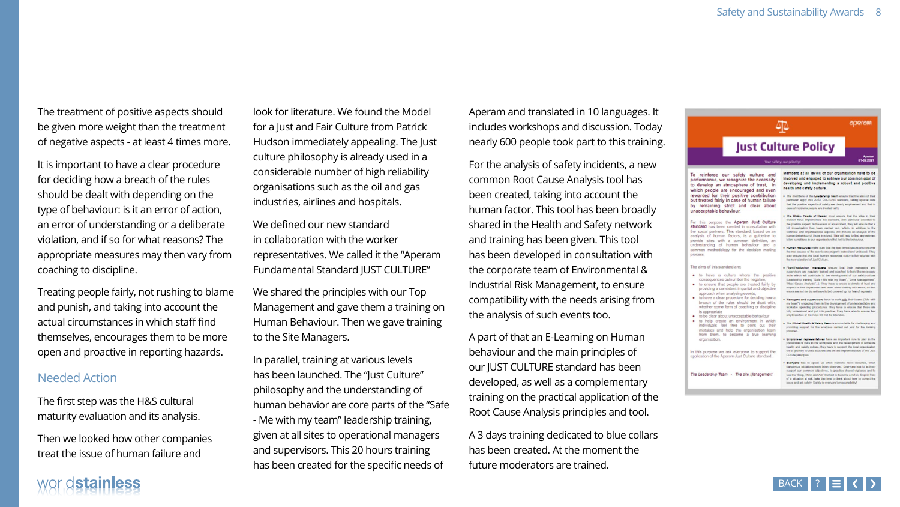The treatment of positive aspects should be given more weight than the treatment of negative aspects - at least 4 times more.

It is important to have a clear procedure for deciding how a breach of the rules should be dealt with depending on the type of behaviour: is it an error of action, an error of understanding or a deliberate violation, and if so for what reasons? The appropriate measures may then vary from coaching to discipline.

look for literature. We found the Mo for a Just and Fair Culture from Patric Hudson immediately appealing. The culture philosophy is already used in considerable number of high reliabil organisations such as the oil and gas industries, airlines and hospitals.

We defined our new standard in collaboration with the worker representatives. We called it the "Ape Fundamental Standard JUST CULTUR

Treating people fairly, not rushing to blame and punish, and taking into account the actual circumstances in which staff find themselves, encourages them to be more open and proactive in reporting hazards.

## Needed Action

We shared the principles with our To Management and gave them a training Human Behaviour. Then we gave train to the Site Managers.

In parallel, training at various levels has been launched. The "Just Culture" philosophy and the understanding c human behavior are core parts of the - Me with my team" leadership traini given at all sites to operational mana and supervisors. This 20 hours traini has been created for the specific nee

The first step was the H&S cultural maturity evaluation and its analysis.

Then we looked how other companies treat the issue of human failure and

# worldstainless

| del                                        | Aperam and translated in 10 languages. It                                                                                                                                                                                                                    |                                                                            |
|--------------------------------------------|--------------------------------------------------------------------------------------------------------------------------------------------------------------------------------------------------------------------------------------------------------------|----------------------------------------------------------------------------|
| ck                                         | includes workshops and discussion. Today                                                                                                                                                                                                                     |                                                                            |
| ! Just                                     | nearly 600 people took part to this training.                                                                                                                                                                                                                |                                                                            |
| า a<br>lity<br>S                           | For the analysis of safety incidents, a new<br>common Root Cause Analysis tool has<br>been created, taking into account the<br>human factor. This tool has been broadly<br>shared in the Health and Safety network<br>and training has been given. This tool | To r<br>perfo<br>rhici<br>rewa<br>but ti<br>by r<br>unac<br>stand<br>nalys |
| eram                                       | has been developed in consultation with                                                                                                                                                                                                                      | proce:                                                                     |
| RE"                                        | the corporate team of Environmental &                                                                                                                                                                                                                        | The a                                                                      |
| qc<br>ing on<br>aining                     | Industrial Risk Management, to ensure<br>compatibility with the needs arising from<br>the analysis of such events too.                                                                                                                                       |                                                                            |
| $\mathsf{\Xi}''$<br>)f<br>ie "Safe<br>ing, | A part of that an E-Learning on Human<br>behaviour and the main principles of<br>our JUST CULTURE standard has been<br>developed, as well as a complementary<br>training on the practical application of the<br>Root Cause Analysis principles and tool.     | In this<br>applic<br>The Li                                                |
| agers<br>ing<br>eds of                     | A 3 days training dedicated to blue collars<br>has been created. At the moment the<br>future moderators are trained.                                                                                                                                         |                                                                            |

#### 坕 **Just Culture Policy** Your safety, our priority Members at all levels of our organisation have to be einforce our safety culture and involved and engaged to achieve our common goal of mance, we recognize the necessity developing and implementing a robust and positive evelop an atmosphere of trust, in health and cafety oulture. th people are encouraged and even rded for their positive contribution . The members of the Londonship Team ensure that the attes of their reated fairly in case of human failure pertmeter apply this JUST CULTURE standard, taking special care that the positive superds of safety are dearly emphasised and that in remaining strict and clear about case of incidents people are treated fairly ceptable behaviour. . The CEOs, Heads of Region must aroune that the alles in their division have implemented the standard, with particular adention to this purpose the Aperam Just Culture<br>dard has been created in consultation with the positive aspect, in the event of an accident, they will ensure that a full investigation has been carried out, which, in addition to the ocial partners. This standard, based on an lechnical and organiselonal aspects, will include an analysis of the sis of human factors, is a guideline to human behaviour of those involved. This will help to find any newyard belond consolitants in our organization that led to the behaviour. de sites with a common definition, an standing of human behaviour and a . Human resources make sure that the lead investigators who uncover ton methodology for the decision making the root causes of the events are properly trained and unbiased. They also ensure that the local human resources policy is fully aligned with the new standard of Just Cutture. aims of this standard are: . PlantProduction managers ensure that their managers and repervisors are regularly trained and coached to build the necessary to have a culture where the positive skills which will contribute to the development of our safety culture consequences outnumber the negative, (Leadership Insteing "Safe - Me with my Team", "Error Management "Hoof Cause Analysts"...). They have to create a citriate of trust and to ensure that people are treated fairly by respect in their department and beam when dealing with errors, so that providing a consistent impartial and objective emore ane not (or do not have to be) covered up for fear of reprisets. approach when analysing events, to have a clear procedure for deciding how a Managers and supervisors have to work adh her learns ("Me with reach of the rules should be dealt with, my learn"), engaging them in the development of understandable and whether some form of coaching or discipline workable operating procedures. They have to ensure that these are fully understood and put into practice. They have also to ensure that s appropriate any breaches of the rules will not be blended. to be clear about unacceptable behaviour to help create an environment in which . The Clobel Health & Safety Team is accountable for challenging and individuals feel free to point out their providing support for the arealyses carried out and for the Instrang nistakes and help the organisation learn rom them, to become a true learning rganisation. . Employees' representatives have an important role to play in the prevention of risks in the workplace and the development of a mature health and xafety culture, they have to support the local organization on its journey to zero accident and on the implementation of the Just purpose we ask everyone to support the Culture principles. stion of the Aperam Just Culture standard. . Everyone has to speak up when incidents have occurred, when denperous situations have been observed. Everyone has to actively support our common objectives, to practice shared vigilarios and to eadership Team - The site Management use the "Stop, Think and Act" method to become a refex. Stop in front of a situation at risk, lake the time to think about how to correct the bosse and act safety. Safety is everyone's responsibility!











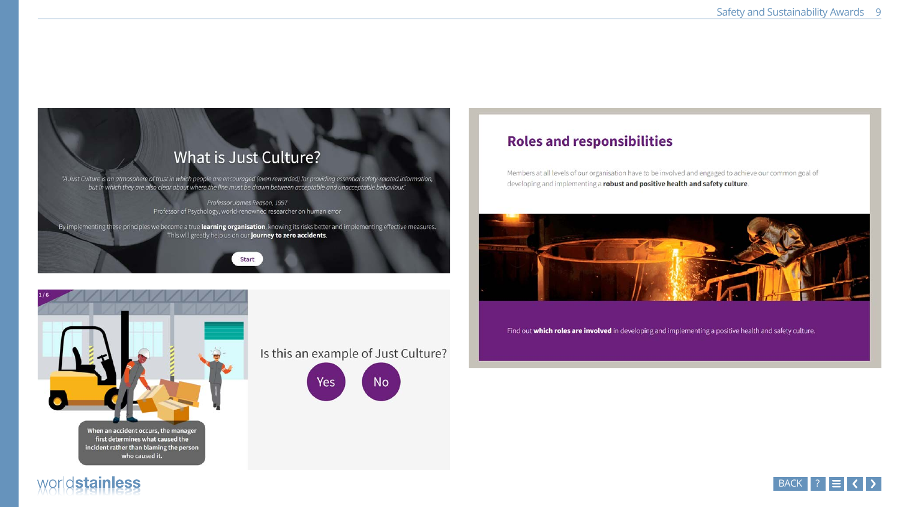## What is Just Culture?

"A Just Culture is an atmosphere of trust in which people are encouraged (even rewarded) for providing essential safety-related information, but in which they are also clear about where the line must be drawn between acceptable and unacceptable behaviour."

> Professor James Reason, 1997 Professor of Psychology, world-renowned researcher on human error

> > **Start**

By implementing these principles we become a true learning organisation, knowing its risks better and implementing effective measures. This will greatly help us on our journey to zero accidents.



first determines what caused the incident rather than blaming the person who caused it.

## Is this an example of Just Culture?



worldstainless



## **Roles and responsibilities**

Members at all levels of our organisation have to be involved and engaged to achieve our common goal of developing and implementing a robust and positive health and safety culture.



Find out which roles are involved in developing and implementing a positive health and safety culture.











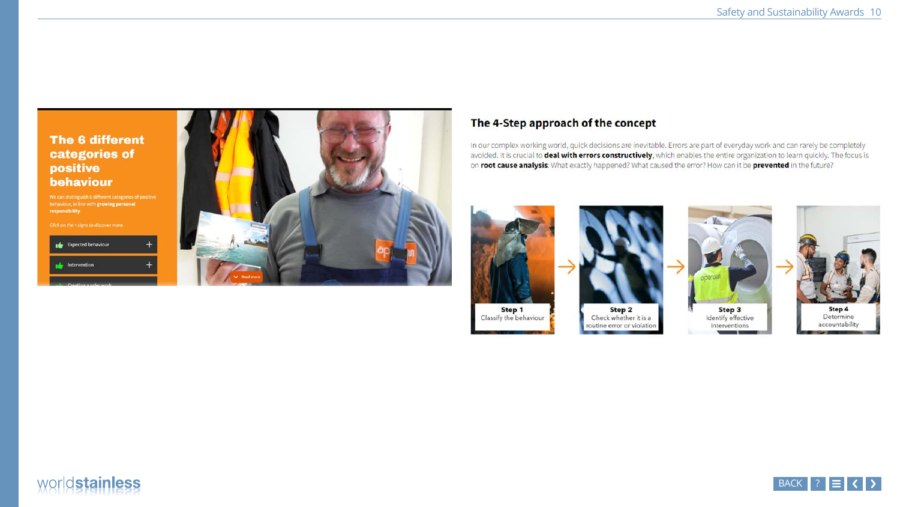#### **The 6 different** categories of positive behaviour

We can distinguish 6 different categories of positive behaviour, in line with growing personal responsibility.

Click on the + signs to discover more. Expected behaviour Intervention



# worldstainless

## The 4-Step approach of the concept

In our complex working world, quick decisions are inevitable. Errors are part of everyday work and can rarely be completely avoided. It is crucial to deal with errors constructively, which enables the entire organization to learn quickly. The focus is on root cause analysis: What exactly happened? What caused the error? How can it be prevented in the future?